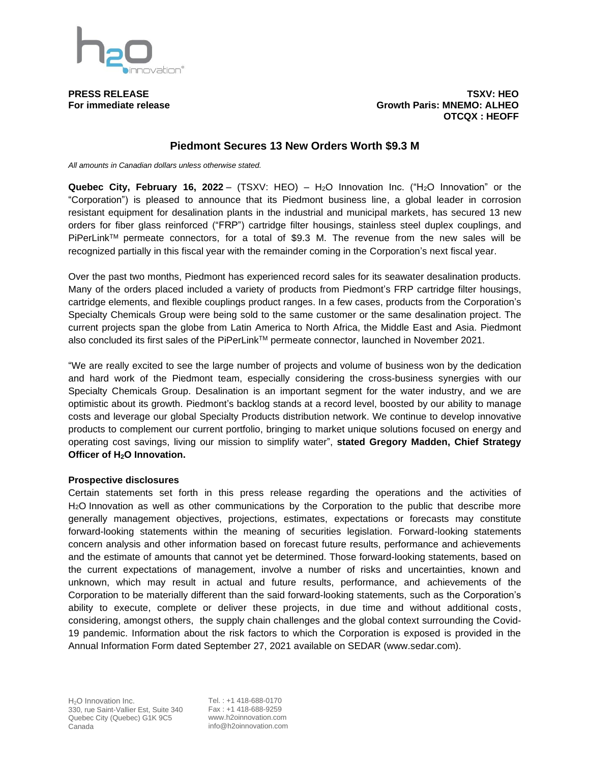

**PRESS RELEASE TSXV: HEO For immediate release Growth Paris: MNEMO: ALHEO OTCQX : HEOFF**

## **Piedmont Secures 13 New Orders Worth \$9.3 M**

*All amounts in Canadian dollars unless otherwise stated.*

**Quebec City, February 16, 2022** – (TSXV: HEO) – H2O Innovation Inc. ("H2O Innovation" or the "Corporation") is pleased to announce that its Piedmont business line, a global leader in corrosion resistant equipment for desalination plants in the industrial and municipal markets, has secured 13 new orders for fiber glass reinforced ("FRP") cartridge filter housings, stainless steel duplex couplings, and PiPerLink<sup>™</sup> permeate connectors, for a total of \$9.3 M. The revenue from the new sales will be recognized partially in this fiscal year with the remainder coming in the Corporation's next fiscal year.

Over the past two months, Piedmont has experienced record sales for its seawater desalination products. Many of the orders placed included a variety of products from Piedmont's FRP cartridge filter housings, cartridge elements, and flexible couplings product ranges. In a few cases, products from the Corporation's Specialty Chemicals Group were being sold to the same customer or the same desalination project. The current projects span the globe from Latin America to North Africa, the Middle East and Asia. Piedmont also concluded its first sales of the PiPerLink™ permeate connector, launched in November 2021.

"We are really excited to see the large number of projects and volume of business won by the dedication and hard work of the Piedmont team, especially considering the cross-business synergies with our Specialty Chemicals Group. Desalination is an important segment for the water industry, and we are optimistic about its growth. Piedmont's backlog stands at a record level, boosted by our ability to manage costs and leverage our global Specialty Products distribution network. We continue to develop innovative products to complement our current portfolio, bringing to market unique solutions focused on energy and operating cost savings, living our mission to simplify water", **stated Gregory Madden, Chief Strategy Officer of H2O Innovation.**

## **Prospective disclosures**

Certain statements set forth in this press release regarding the operations and the activities of H2O Innovation as well as other communications by the Corporation to the public that describe more generally management objectives, projections, estimates, expectations or forecasts may constitute forward-looking statements within the meaning of securities legislation. Forward-looking statements concern analysis and other information based on forecast future results, performance and achievements and the estimate of amounts that cannot yet be determined. Those forward-looking statements, based on the current expectations of management, involve a number of risks and uncertainties, known and unknown, which may result in actual and future results, performance, and achievements of the Corporation to be materially different than the said forward-looking statements, such as the Corporation's ability to execute, complete or deliver these projects, in due time and without additional costs, considering, amongst others, the supply chain challenges and the global context surrounding the Covid-19 pandemic. Information about the risk factors to which the Corporation is exposed is provided in the Annual Information Form dated September 27, 2021 available on SEDAR (www.sedar.com).

Tel. : +1 418-688-0170 Fax : +1 418-688-9259 www.h2oinnovation.com info@h2oinnovation.com